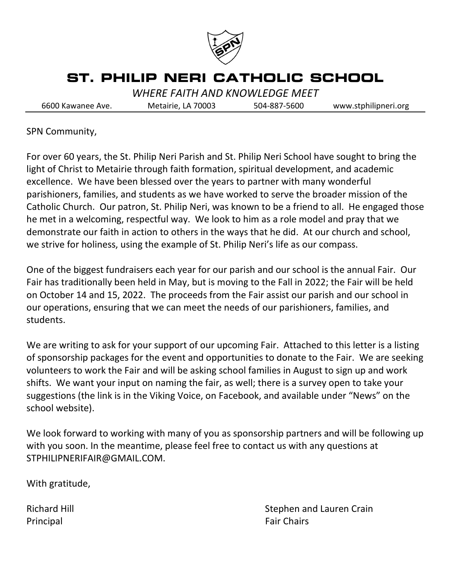

# **ST. PHILIP NERI CATHOLIC SCHOOL**

*WHERE FAITH AND KNOWLEDGE MEET* 

6600 Kawanee Ave. Metairie, LA 70003 504-887-5600 www.stphilipneri.org

SPN Community,

For over 60 years, the St. Philip Neri Parish and St. Philip Neri School have sought to bring the light of Christ to Metairie through faith formation, spiritual development, and academic excellence. We have been blessed over the years to partner with many wonderful parishioners, families, and students as we have worked to serve the broader mission of the Catholic Church. Our patron, St. Philip Neri, was known to be a friend to all. He engaged those he met in a welcoming, respectful way. We look to him as a role model and pray that we demonstrate our faith in action to others in the ways that he did. At our church and school, we strive for holiness, using the example of St. Philip Neri's life as our compass.

One of the biggest fundraisers each year for our parish and our school is the annual Fair. Our Fair has traditionally been held in May, but is moving to the Fall in 2022; the Fair will be held on October 14 and 15, 2022. The proceeds from the Fair assist our parish and our school in our operations, ensuring that we can meet the needs of our parishioners, families, and students.

We are writing to ask for your support of our upcoming Fair. Attached to this letter is a listing of sponsorship packages for the event and opportunities to donate to the Fair. We are seeking volunteers to work the Fair and will be asking school families in August to sign up and work shifts. We want your input on naming the fair, as well; there is a survey open to take your suggestions (the link is in the Viking Voice, on Facebook, and available under "News" on the school website).

We look forward to working with many of you as sponsorship partners and will be following up with you soon. In the meantime, please feel free to contact us with any questions at STPHILIPNERIFAIR@GMAIL.COM.

With gratitude,

Principal **Fair Chairs Fair Chairs** 

Richard Hill **Stephen and Lauren Crain**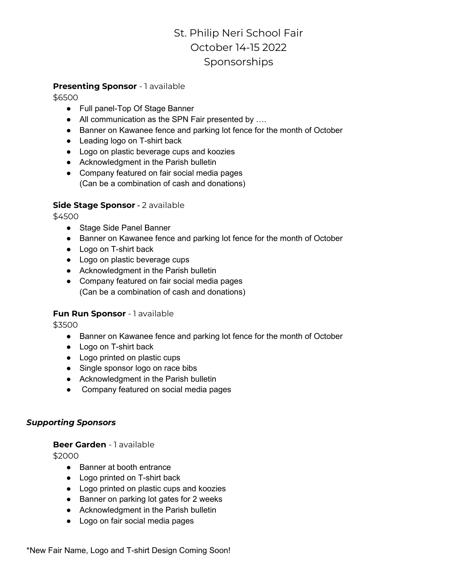## St. Philip Neri School Fair October 14-15 2022 Sponsorships

#### **Presenting Sponsor** - 1 available

\$6500

- Full panel-Top Of Stage Banner
- All communication as the SPN Fair presented by ....
- Banner on Kawanee fence and parking lot fence for the month of October
- Leading logo on T-shirt back
- Logo on plastic beverage cups and koozies
- Acknowledgment in the Parish bulletin
- Company featured on fair social media pages (Can be a combination of cash and donations)

#### **Side Stage Sponsor** - 2 available

\$4500

- Stage Side Panel Banner
- Banner on Kawanee fence and parking lot fence for the month of October
- Logo on T-shirt back
- Logo on plastic beverage cups
- Acknowledgment in the Parish bulletin
- Company featured on fair social media pages (Can be a combination of cash and donations)

#### **Fun Run Sponsor** - 1 available

\$3500

- Banner on Kawanee fence and parking lot fence for the month of October
- Logo on T-shirt back
- Logo printed on plastic cups
- Single sponsor logo on race bibs
- Acknowledgment in the Parish bulletin
- Company featured on social media pages

#### *Supporting Sponsors*

#### **Beer Garden** - 1 available

\$2000

- Banner at booth entrance
- Logo printed on T-shirt back
- Logo printed on plastic cups and koozies
- Banner on parking lot gates for 2 weeks
- Acknowledgment in the Parish bulletin
- Logo on fair social media pages

\*New Fair Name, Logo and T-shirt Design Coming Soon!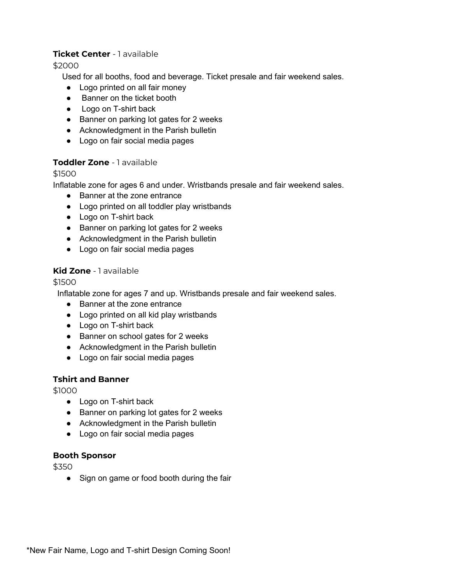#### **Ticket Center** - 1 available

\$2000

Used for all booths, food and beverage. Ticket presale and fair weekend sales.

- Logo printed on all fair money
- Banner on the ticket booth
- Logo on T-shirt back
- Banner on parking lot gates for 2 weeks
- Acknowledgment in the Parish bulletin
- Logo on fair social media pages

#### **Toddler Zone** - 1 available

#### \$1500

Inflatable zone for ages 6 and under. Wristbands presale and fair weekend sales.

- Banner at the zone entrance
- Logo printed on all toddler play wristbands
- Logo on T-shirt back
- Banner on parking lot gates for 2 weeks
- Acknowledgment in the Parish bulletin
- Logo on fair social media pages

#### **Kid Zone** - 1 available

#### \$1500

Inflatable zone for ages 7 and up. Wristbands presale and fair weekend sales.

- Banner at the zone entrance
- Logo printed on all kid play wristbands
- Logo on T-shirt back
- Banner on school gates for 2 weeks
- Acknowledgment in the Parish bulletin
- Logo on fair social media pages

#### **Tshirt and Banner**

\$1000

- Logo on T-shirt back
- Banner on parking lot gates for 2 weeks
- Acknowledgment in the Parish bulletin
- Logo on fair social media pages

#### **Booth Sponsor**

\$350

• Sign on game or food booth during the fair